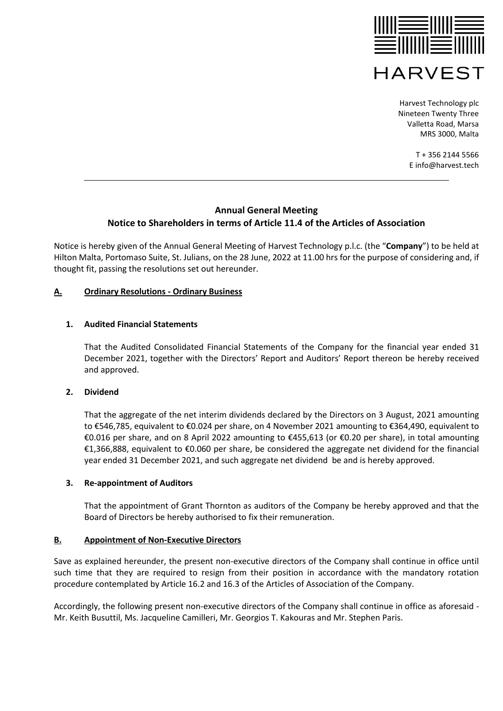

> T + 356 2144 5566 E info@harvest.tech

# **Annual General Meeting Notice to Shareholders in terms of Article 11.4 of the Articles of Association**

Notice is hereby given of the Annual General Meeting of Harvest Technology p.l.c. (the "**Company**") to be held at Hilton Malta, Portomaso Suite, St. Julians, on the 28 June, 2022 at 11.00 hrs for the purpose of considering and, if thought fit, passing the resolutions set out hereunder.

## **A. Ordinary Resolutions - Ordinary Business**

## **1. Audited Financial Statements**

That the Audited Consolidated Financial Statements of the Company for the financial year ended 31 December 2021, together with the Directors' Report and Auditors' Report thereon be hereby received and approved.

## **2. Dividend**

That the aggregate of the net interim dividends declared by the Directors on 3 August, 2021 amounting to €546,785, equivalent to €0.024 per share, on 4 November 2021 amounting to €364,490, equivalent to €0.016 per share, and on 8 April 2022 amounting to €455,613 (or €0.20 per share), in total amounting €1,366,888, equivalent to €0.060 per share, be considered the aggregate net dividend for the financial year ended 31 December 2021, and such aggregate net dividend be and is hereby approved.

## **3. Re-appointment of Auditors**

That the appointment of Grant Thornton as auditors of the Company be hereby approved and that the Board of Directors be hereby authorised to fix their remuneration.

# **B. Appointment of Non-Executive Directors**

Save as explained hereunder, the present non-executive directors of the Company shall continue in office until such time that they are required to resign from their position in accordance with the mandatory rotation procedure contemplated by Article 16.2 and 16.3 of the Articles of Association of the Company.

Accordingly, the following present non-executive directors of the Company shall continue in office as aforesaid - Mr. Keith Busuttil, Ms. Jacqueline Camilleri, Mr. Georgios T. Kakouras and Mr. Stephen Paris.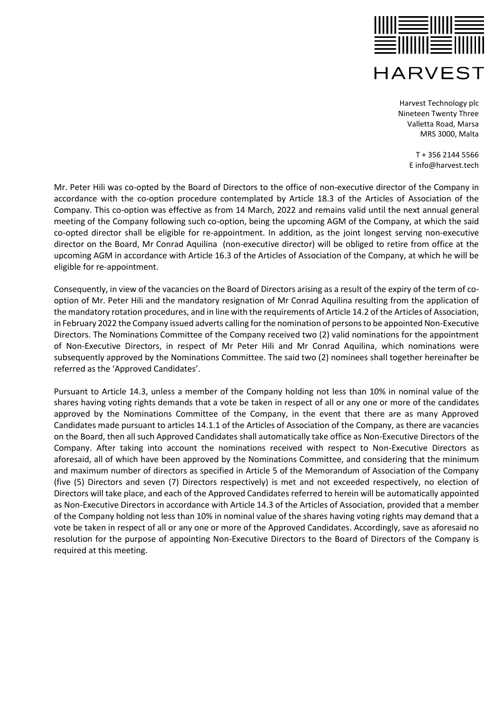

> T + 356 2144 5566 E info@harvest.tech

Mr. Peter Hili was co-opted by the Board of Directors to the office of non-executive director of the Company in accordance with the co-option procedure contemplated by Article 18.3 of the Articles of Association of the Company. This co-option was effective as from 14 March, 2022 and remains valid until the next annual general meeting of the Company following such co-option, being the upcoming AGM of the Company, at which the said co-opted director shall be eligible for re-appointment. In addition, as the joint longest serving non-executive director on the Board, Mr Conrad Aquilina (non-executive director) will be obliged to retire from office at the upcoming AGM in accordance with Article 16.3 of the Articles of Association of the Company, at which he will be eligible for re-appointment.

Consequently, in view of the vacancies on the Board of Directors arising as a result of the expiry of the term of cooption of Mr. Peter Hili and the mandatory resignation of Mr Conrad Aquilina resulting from the application of the mandatory rotation procedures, and in line with the requirements of Article 14.2 of the Articles of Association, in February 2022 the Company issued adverts calling for the nomination of persons to be appointed Non-Executive Directors. The Nominations Committee of the Company received two (2) valid nominations for the appointment of Non-Executive Directors, in respect of Mr Peter Hili and Mr Conrad Aquilina, which nominations were subsequently approved by the Nominations Committee. The said two (2) nominees shall together hereinafter be referred as the 'Approved Candidates'.

Pursuant to Article 14.3, unless a member of the Company holding not less than 10% in nominal value of the shares having voting rights demands that a vote be taken in respect of all or any one or more of the candidates approved by the Nominations Committee of the Company, in the event that there are as many Approved Candidates made pursuant to articles 14.1.1 of the Articles of Association of the Company, as there are vacancies on the Board, then all such Approved Candidates shall automatically take office as Non-Executive Directors of the Company. After taking into account the nominations received with respect to Non-Executive Directors as aforesaid, all of which have been approved by the Nominations Committee, and considering that the minimum and maximum number of directors as specified in Article 5 of the Memorandum of Association of the Company (five (5) Directors and seven (7) Directors respectively) is met and not exceeded respectively, no election of Directors will take place, and each of the Approved Candidates referred to herein will be automatically appointed as Non-Executive Directors in accordance with Article 14.3 of the Articles of Association, provided that a member of the Company holding not less than 10% in nominal value of the shares having voting rights may demand that a vote be taken in respect of all or any one or more of the Approved Candidates. Accordingly, save as aforesaid no resolution for the purpose of appointing Non-Executive Directors to the Board of Directors of the Company is required at this meeting.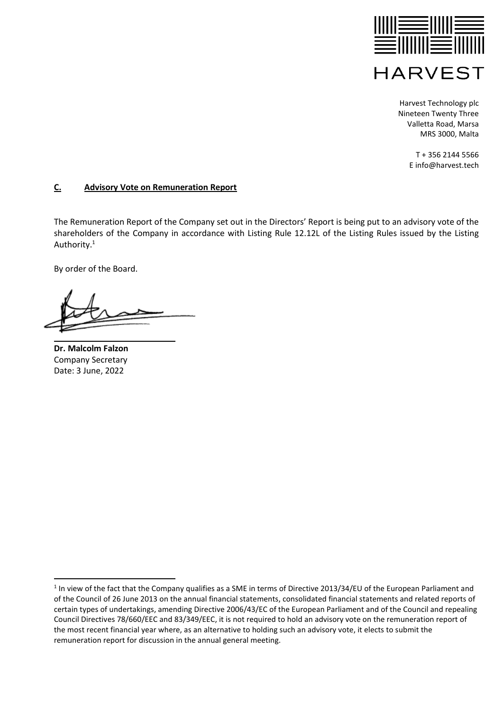

> T + 356 2144 5566 E info@harvest.tech

## **C. Advisory Vote on Remuneration Report**

The Remuneration Report of the Company set out in the Directors' Report is being put to an advisory vote of the shareholders of the Company in accordance with Listing Rule 12.12L of the Listing Rules issued by the Listing Authority.<sup>1</sup>

By order of the Board.

**Dr. Malcolm Falzon** Company Secretary Date: 3 June, 2022

 $1$  In view of the fact that the Company qualifies as a SME in terms of Directive 2013/34/EU of the European Parliament and of the Council of 26 June 2013 on the annual financial statements, consolidated financial statements and related reports of certain types of undertakings, amending Directive 2006/43/EC of the European Parliament and of the Council and repealing Council Directives 78/660/EEC and 83/349/EEC, it is not required to hold an advisory vote on the remuneration report of the most recent financial year where, as an alternative to holding such an advisory vote, it elects to submit the remuneration report for discussion in the annual general meeting.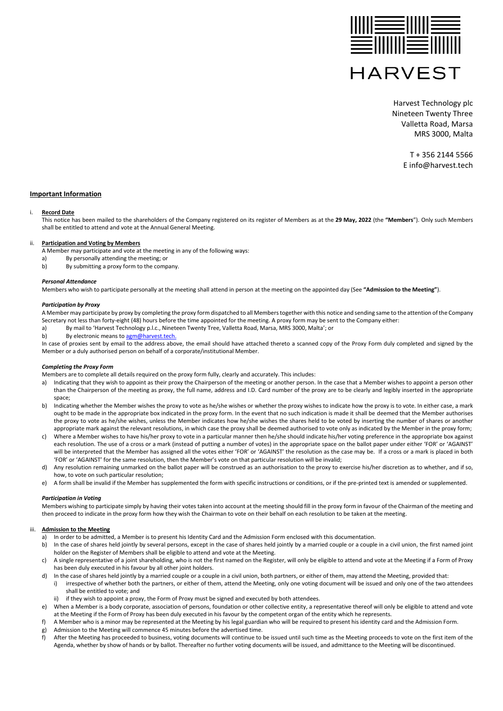

> T + 356 2144 5566 E info@harvest.tech

### **Important Information**

#### i. **Record Date**

This notice has been mailed to the shareholders of the Company registered on its register of Members as at the **29 May, 2022** (the **"Members**"). Only such Members shall be entitled to attend and vote at the Annual General Meeting.

### ii. **Participation and Voting by Members**

A Member may participate and vote at the meeting in any of the following ways:

- a) By personally attending the meeting; or
- b) By submitting a proxy form to the company.

#### *Personal Attendance*

Members who wish to participate personally at the meeting shall attend in person at the meeting on the appointed day (See **"Admission to the Meeting"**).

#### *Participation by Proxy*

A Member may participate by proxy by completing the proxy form dispatched to all Members together with this notice and sending same to the attention of the Company Secretary not less than forty-eight (48) hours before the time appointed for the meeting. A proxy form may be sent to the Company either:

a) By mail to 'Harvest Technology p.l.c., Nineteen Twenty Tree, Valletta Road, Marsa, MRS 3000, Malta'; or

b) By electronic means to [agm@harvest.tech.](mailto:agm@harvest.tech)

In case of proxies sent by email to the address above, the email should have attached thereto a scanned copy of the Proxy Form duly completed and signed by the Member or a duly authorised person on behalf of a corporate/institutional Member.

### *Completing the Proxy Form*

Members are to complete all details required on the proxy form fully, clearly and accurately. This includes:

- a) Indicating that they wish to appoint as their proxy the Chairperson of the meeting or another person. In the case that a Member wishes to appoint a person other than the Chairperson of the meeting as proxy, the full name, address and I.D. Card number of the proxy are to be clearly and legibly inserted in the appropriate space;
- b) Indicating whether the Member wishes the proxy to vote as he/she wishes or whether the proxy wishes to indicate how the proxy is to vote. In either case, a mark ought to be made in the appropriate box indicated in the proxy form. In the event that no such indication is made it shall be deemed that the Member authorises the proxy to vote as he/she wishes, unless the Member indicates how he/she wishes the shares held to be voted by inserting the number of shares or another appropriate mark against the relevant resolutions, in which case the proxy shall be deemed authorised to vote only as indicated by the Member in the proxy form;
- c) Where a Member wishes to have his/her proxy to vote in a particular manner then he/she should indicate his/her voting preference in the appropriate box against each resolution. The use of a cross or a mark (instead of putting a number of votes) in the appropriate space on the ballot paper under either 'FOR' or 'AGAINST' will be interpreted that the Member has assigned all the votes either 'FOR' or 'AGAINST' the resolution as the case may be. If a cross or a mark is placed in both 'FOR' or 'AGAINST' for the same resolution, then the Member's vote on that particular resolution will be invalid;
- d) Any resolution remaining unmarked on the ballot paper will be construed as an authorisation to the proxy to exercise his/her discretion as to whether, and if so, how, to vote on such particular resolution;
- e) A form shall be invalid if the Member has supplemented the form with specific instructions or conditions, or if the pre-printed text is amended or supplemented.

#### *Participation in Voting*

Members wishing to participate simply by having their votes taken into account at the meeting should fill in the proxy form in favour of the Chairman of the meeting and then proceed to indicate in the proxy form how they wish the Chairman to vote on their behalf on each resolution to be taken at the meeting.

### iii. **Admission to the Meeting**

- a) In order to be admitted, a Member is to present his Identity Card and the Admission Form enclosed with this documentation.
- b) In the case of shares held jointly by several persons, except in the case of shares held jointly by a married couple or a couple in a civil union, the first named joint holder on the Register of Members shall be eligible to attend and vote at the Meeting.
- c) A single representative of a joint shareholding, who is not the first named on the Register, will only be eligible to attend and vote at the Meeting if a Form of Proxy has been duly executed in his favour by all other joint holders.
- d) In the case of shares held jointly by a married couple or a couple in a civil union, both partners, or either of them, may attend the Meeting, provided that:
- i) irrespective of whether both the partners, or either of them, attend the Meeting, only one voting document will be issued and only one of the two attendees shall be entitled to vote; and
- ii) if they wish to appoint a proxy, the Form of Proxy must be signed and executed by both attendees.
- e) When a Member is a body corporate, association of persons, foundation or other collective entity, a representative thereof will only be eligible to attend and vote at the Meeting if the Form of Proxy has been duly executed in his favour by the competent organ of the entity which he represents.
- f) A Member who is a minor may be represented at the Meeting by his legal guardian who will be required to present his identity card and the Admission Form.
- Admission to the Meeting will commence 45 minutes before the advertised time.
- f) After the Meeting has proceeded to business, voting documents will continue to be issued until such time as the Meeting proceeds to vote on the first item of the Agenda, whether by show of hands or by ballot. Thereafter no further voting documents will be issued, and admittance to the Meeting will be discontinued.